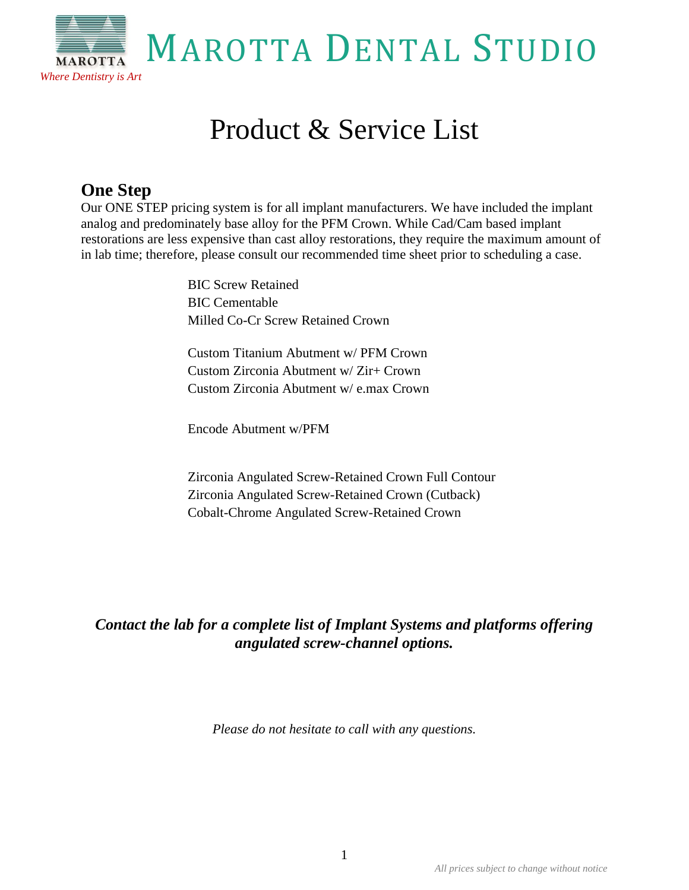

# Product & Service List

# **One Step**

Our ONE STEP pricing system is for all implant manufacturers. We have included the implant analog and predominately base alloy for the PFM Crown. While Cad/Cam based implant restorations are less expensive than cast alloy restorations, they require the maximum amount of in lab time; therefore, please consult our recommended time sheet prior to scheduling a case.

> BIC Screw Retained BIC Cementable Milled Co-Cr Screw Retained Crown

Custom Titanium Abutment w/ PFM Crown Custom Zirconia Abutment w/ Zir+ Crown Custom Zirconia Abutment w/ e.max Crown

Encode Abutment w/PFM

Zirconia Angulated Screw-Retained Crown Full Contour Zirconia Angulated Screw-Retained Crown (Cutback) Cobalt-Chrome Angulated Screw-Retained Crown

# *Contact the lab for a complete list of Implant Systems and platforms offering angulated screw-channel options.*

*Please do not hesitate to call with any questions.*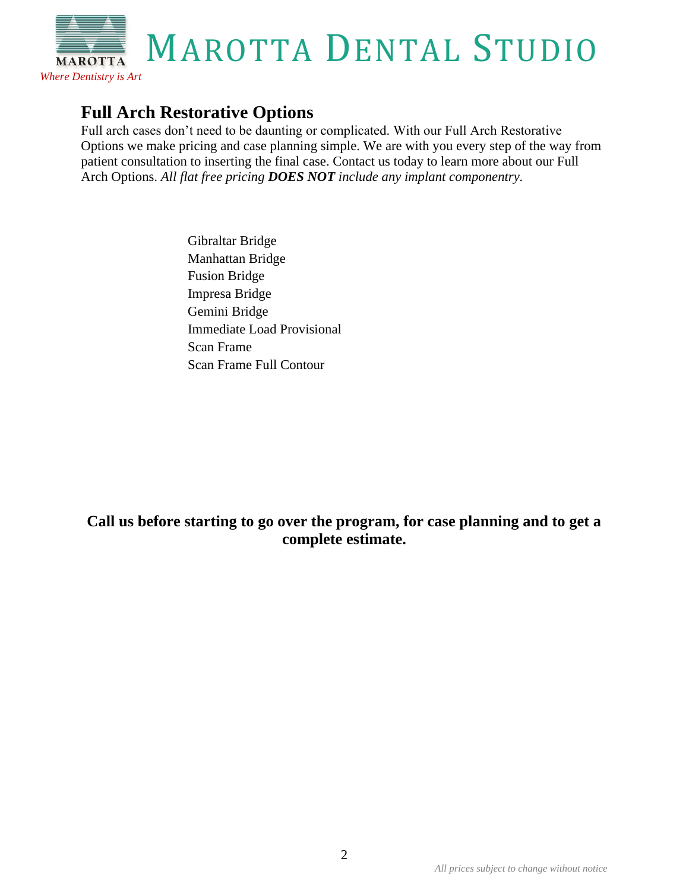# **Full Arch Restorative Options**

*Where Dentistry is Art*

Full arch cases don't need to be daunting or complicated. With our Full Arch Restorative Options we make pricing and case planning simple. We are with you every step of the way from patient consultation to inserting the final case. Contact us today to learn more about our Full Arch Options. *All flat free pricing DOES NOT include any implant componentry.*

> Gibraltar Bridge Manhattan Bridge Fusion Bridge Impresa Bridge Gemini Bridge Immediate Load Provisional Scan Frame Scan Frame Full Contour

## **Call us before starting to go over the program, for case planning and to get a complete estimate.**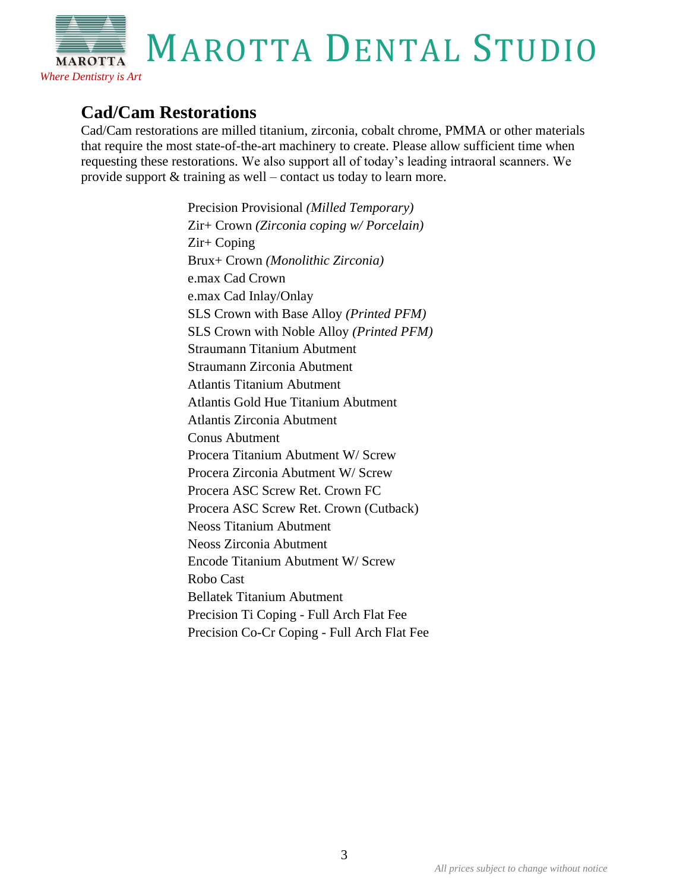# **Cad/Cam Restorations**

*Where Dentistry is Art*

Cad/Cam restorations are milled titanium, zirconia, cobalt chrome, PMMA or other materials that require the most state-of-the-art machinery to create. Please allow sufficient time when requesting these restorations. We also support all of today's leading intraoral scanners. We provide support & training as well – contact us today to learn more.

> Precision Provisional *(Milled Temporary)* Zir+ Crown *(Zirconia coping w/ Porcelain)* Zir+ Coping Brux+ Crown *(Monolithic Zirconia)* e.max Cad Crown e.max Cad Inlay/Onlay SLS Crown with Base Alloy *(Printed PFM)* SLS Crown with Noble Alloy *(Printed PFM)* Straumann Titanium Abutment Straumann Zirconia Abutment Atlantis Titanium Abutment Atlantis Gold Hue Titanium Abutment Atlantis Zirconia Abutment Conus Abutment Procera Titanium Abutment W/ Screw Procera Zirconia Abutment W/ Screw Procera ASC Screw Ret. Crown FC Procera ASC Screw Ret. Crown (Cutback) Neoss Titanium Abutment Neoss Zirconia Abutment Encode Titanium Abutment W/ Screw Robo Cast Bellatek Titanium Abutment Precision Ti Coping - Full Arch Flat Fee Precision Co-Cr Coping - Full Arch Flat Fee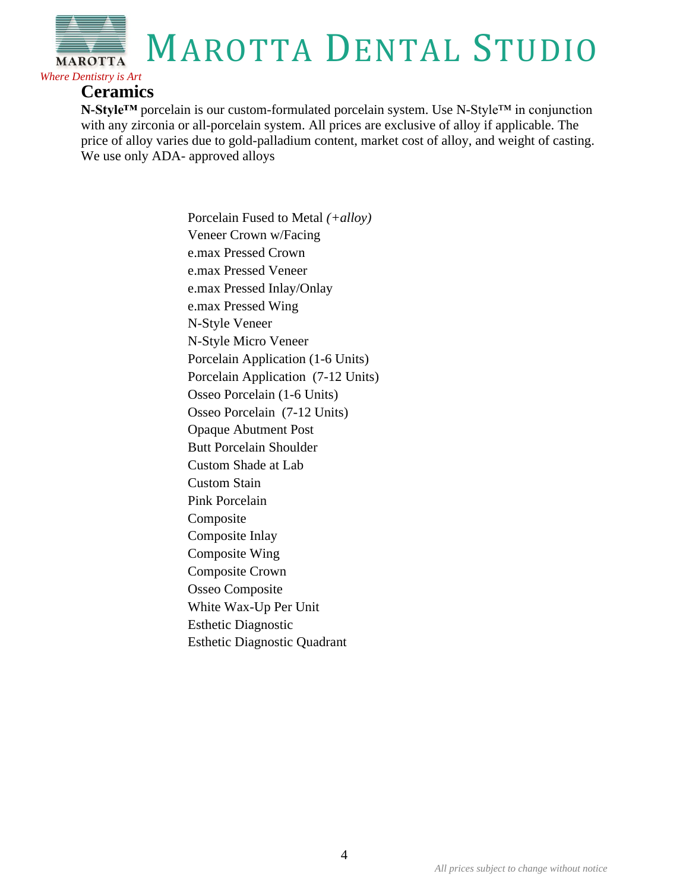#### **Ceramics**

*Where Dentistry is Art*

**N-Style™** porcelain is our custom-formulated porcelain system. Use N-Style™ in conjunction with any zirconia or all-porcelain system. All prices are exclusive of alloy if applicable. The price of alloy varies due to gold-palladium content, market cost of alloy, and weight of casting. We use only ADA- approved alloys

> Porcelain Fused to Metal *(+alloy)* Veneer Crown w/Facing e.max Pressed Crown e.max Pressed Veneer e.max Pressed Inlay/Onlay e.max Pressed Wing N-Style Veneer N-Style Micro Veneer Porcelain Application (1-6 Units) Porcelain Application (7-12 Units) Osseo Porcelain (1-6 Units) Osseo Porcelain (7-12 Units) Opaque Abutment Post Butt Porcelain Shoulder Custom Shade at Lab Custom Stain Pink Porcelain Composite Composite Inlay Composite Wing Composite Crown Osseo Composite White Wax-Up Per Unit Esthetic Diagnostic Esthetic Diagnostic Quadrant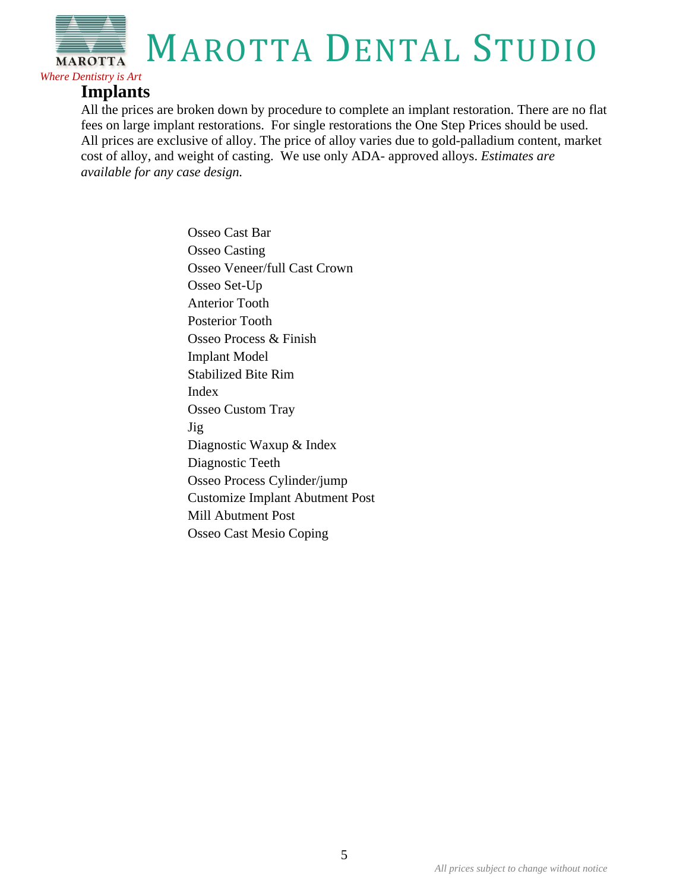## **Implants**

*Where Dentistry is Art*

All the prices are broken down by procedure to complete an implant restoration. There are no flat fees on large implant restorations. For single restorations the One Step Prices should be used. All prices are exclusive of alloy. The price of alloy varies due to gold-palladium content, market cost of alloy, and weight of casting. We use only ADA- approved alloys. *Estimates are available for any case design.* 

> Osseo Cast Bar Osseo Casting Osseo Veneer/full Cast Crown Osseo Set-Up Anterior Tooth Posterior Tooth Osseo Process & Finish Implant Model Stabilized Bite Rim Index Osseo Custom Tray Jig Diagnostic Waxup & Index Diagnostic Teeth Osseo Process Cylinder/jump Customize Implant Abutment Post Mill Abutment Post Osseo Cast Mesio Coping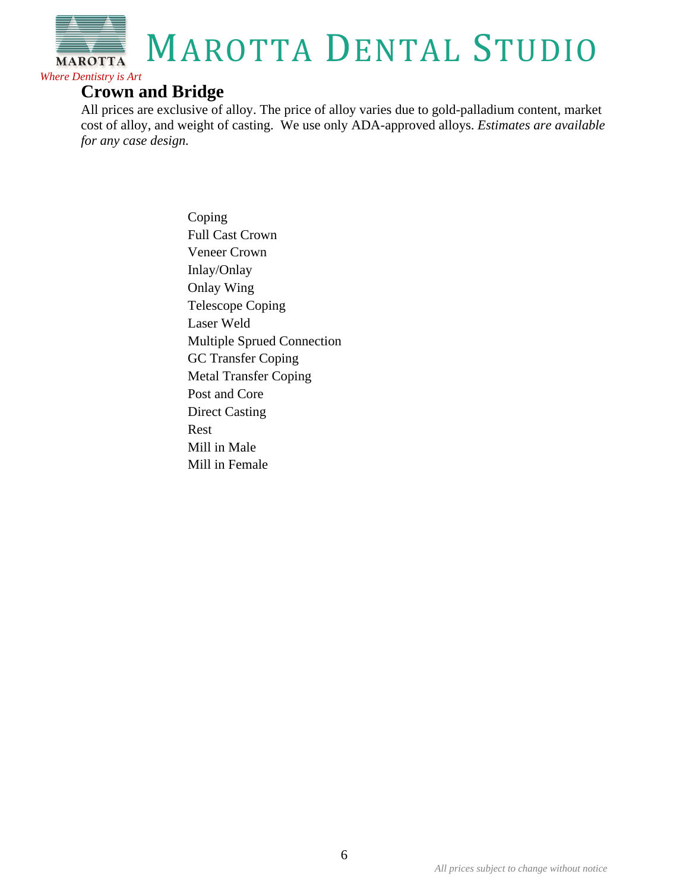

## **Crown and Bridge**

All prices are exclusive of alloy. The price of alloy varies due to gold-palladium content, market cost of alloy, and weight of casting. We use only ADA-approved alloys. *Estimates are available for any case design.* 

> Coping Full Cast Crown Veneer Crown Inlay/Onlay Onlay Wing Telescope Coping Laser Weld Multiple Sprued Connection GC Transfer Coping Metal Transfer Coping Post and Core Direct Casting Rest Mill in Male Mill in Female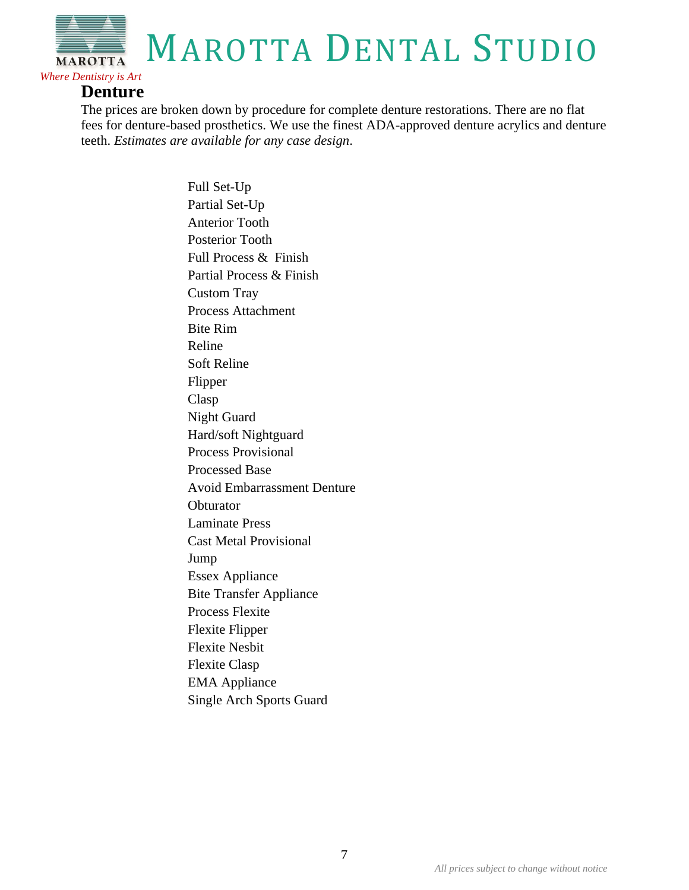#### **Denture**

*Where Dentistry is Art*

The prices are broken down by procedure for complete denture restorations. There are no flat fees for denture-based prosthetics. We use the finest ADA-approved denture acrylics and denture teeth. *Estimates are available for any case design*.

> Full Set-Up Partial Set-Up Anterior Tooth Posterior Tooth Full Process & Finish Partial Process & Finish Custom Tray Process Attachment Bite Rim Reline Soft Reline Flipper Clasp Night Guard Hard/soft Nightguard Process Provisional Processed Base Avoid Embarrassment Denture **Obturator** Laminate Press Cast Metal Provisional Jump Essex Appliance Bite Transfer Appliance Process Flexite Flexite Flipper Flexite Nesbit Flexite Clasp EMA Appliance Single Arch Sports Guard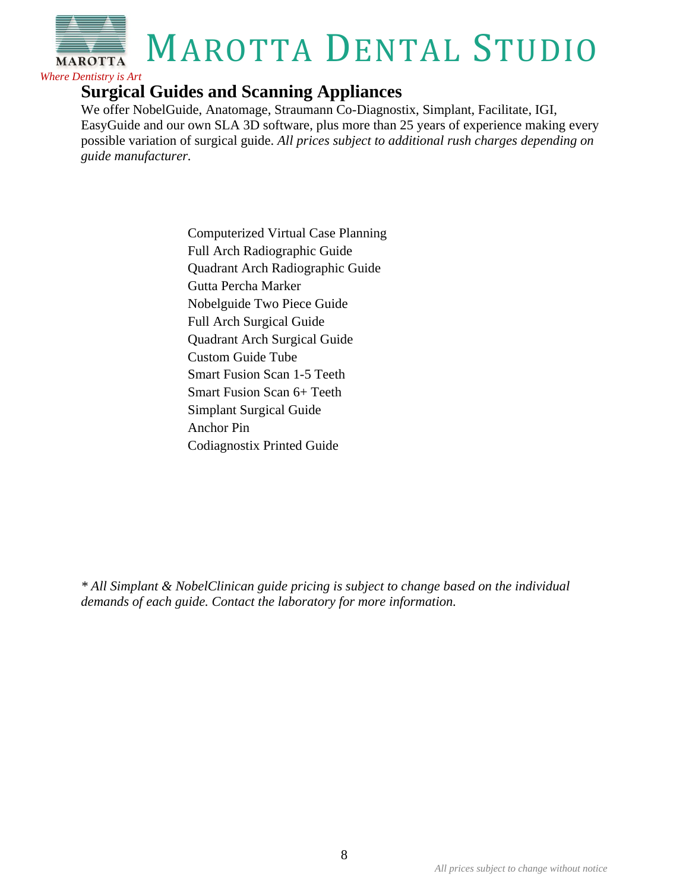

# **Surgical Guides and Scanning Appliances**

We offer NobelGuide, Anatomage, Straumann Co-Diagnostix, Simplant, Facilitate, IGI, EasyGuide and our own SLA 3D software, plus more than 25 years of experience making every possible variation of surgical guide. *All prices subject to additional rush charges depending on guide manufacturer.* 

> Computerized Virtual Case Planning Full Arch Radiographic Guide Quadrant Arch Radiographic Guide Gutta Percha Marker Nobelguide Two Piece Guide Full Arch Surgical Guide Quadrant Arch Surgical Guide Custom Guide Tube Smart Fusion Scan 1-5 Teeth Smart Fusion Scan 6+ Teeth Simplant Surgical Guide Anchor Pin Codiagnostix Printed Guide

*\* All Simplant & NobelClinican guide pricing is subject to change based on the individual demands of each guide. Contact the laboratory for more information.*